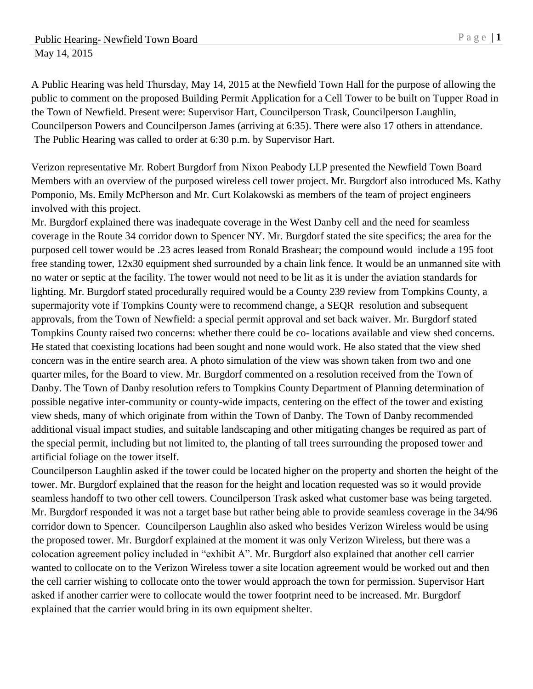A Public Hearing was held Thursday, May 14, 2015 at the Newfield Town Hall for the purpose of allowing the public to comment on the proposed Building Permit Application for a Cell Tower to be built on Tupper Road in the Town of Newfield. Present were: Supervisor Hart, Councilperson Trask, Councilperson Laughlin, Councilperson Powers and Councilperson James (arriving at 6:35). There were also 17 others in attendance. The Public Hearing was called to order at 6:30 p.m. by Supervisor Hart.

Verizon representative Mr. Robert Burgdorf from Nixon Peabody LLP presented the Newfield Town Board Members with an overview of the purposed wireless cell tower project. Mr. Burgdorf also introduced Ms. Kathy Pomponio, Ms. Emily McPherson and Mr. Curt Kolakowski as members of the team of project engineers involved with this project.

Mr. Burgdorf explained there was inadequate coverage in the West Danby cell and the need for seamless coverage in the Route 34 corridor down to Spencer NY. Mr. Burgdorf stated the site specifics; the area for the purposed cell tower would be .23 acres leased from Ronald Brashear; the compound would include a 195 foot free standing tower, 12x30 equipment shed surrounded by a chain link fence. It would be an unmanned site with no water or septic at the facility. The tower would not need to be lit as it is under the aviation standards for lighting. Mr. Burgdorf stated procedurally required would be a County 239 review from Tompkins County, a supermajority vote if Tompkins County were to recommend change, a SEQR resolution and subsequent approvals, from the Town of Newfield: a special permit approval and set back waiver. Mr. Burgdorf stated Tompkins County raised two concerns: whether there could be co- locations available and view shed concerns. He stated that coexisting locations had been sought and none would work. He also stated that the view shed concern was in the entire search area. A photo simulation of the view was shown taken from two and one quarter miles, for the Board to view. Mr. Burgdorf commented on a resolution received from the Town of Danby. The Town of Danby resolution refers to Tompkins County Department of Planning determination of possible negative inter-community or county-wide impacts, centering on the effect of the tower and existing view sheds, many of which originate from within the Town of Danby. The Town of Danby recommended additional visual impact studies, and suitable landscaping and other mitigating changes be required as part of the special permit, including but not limited to, the planting of tall trees surrounding the proposed tower and artificial foliage on the tower itself.

Councilperson Laughlin asked if the tower could be located higher on the property and shorten the height of the tower. Mr. Burgdorf explained that the reason for the height and location requested was so it would provide seamless handoff to two other cell towers. Councilperson Trask asked what customer base was being targeted. Mr. Burgdorf responded it was not a target base but rather being able to provide seamless coverage in the 34/96 corridor down to Spencer. Councilperson Laughlin also asked who besides Verizon Wireless would be using the proposed tower. Mr. Burgdorf explained at the moment it was only Verizon Wireless, but there was a colocation agreement policy included in "exhibit A". Mr. Burgdorf also explained that another cell carrier wanted to collocate on to the Verizon Wireless tower a site location agreement would be worked out and then the cell carrier wishing to collocate onto the tower would approach the town for permission. Supervisor Hart asked if another carrier were to collocate would the tower footprint need to be increased. Mr. Burgdorf explained that the carrier would bring in its own equipment shelter.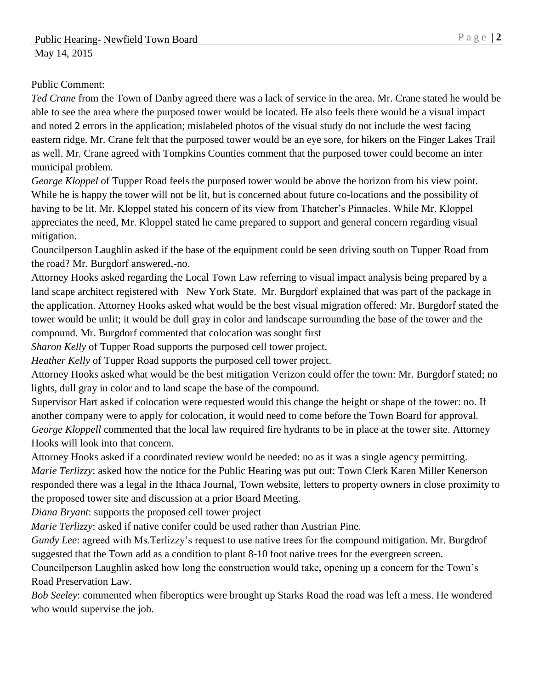## Public Comment:

*Ted Crane* from the Town of Danby agreed there was a lack of service in the area. Mr. Crane stated he would be able to see the area where the purposed tower would be located. He also feels there would be a visual impact and noted 2 errors in the application; mislabeled photos of the visual study do not include the west facing eastern ridge. Mr. Crane felt that the purposed tower would be an eye sore, for hikers on the Finger Lakes Trail as well. Mr. Crane agreed with Tompkins Counties comment that the purposed tower could become an inter municipal problem.

*George Kloppel* of Tupper Road feels the purposed tower would be above the horizon from his view point. While he is happy the tower will not be lit, but is concerned about future co-locations and the possibility of having to be lit. Mr. Kloppel stated his concern of its view from Thatcher's Pinnacles. While Mr. Kloppel appreciates the need, Mr. Kloppel stated he came prepared to support and general concern regarding visual mitigation.

Councilperson Laughlin asked if the base of the equipment could be seen driving south on Tupper Road from the road? Mr. Burgdorf answered,-no.

Attorney Hooks asked regarding the Local Town Law referring to visual impact analysis being prepared by a land scape architect registered with New York State. Mr. Burgdorf explained that was part of the package in the application. Attorney Hooks asked what would be the best visual migration offered: Mr. Burgdorf stated the tower would be unlit; it would be dull gray in color and landscape surrounding the base of the tower and the compound. Mr. Burgdorf commented that colocation was sought first

*Sharon Kelly* of Tupper Road supports the purposed cell tower project.

*Heather Kelly* of Tupper Road supports the purposed cell tower project.

Attorney Hooks asked what would be the best mitigation Verizon could offer the town: Mr. Burgdorf stated; no lights, dull gray in color and to land scape the base of the compound.

Supervisor Hart asked if colocation were requested would this change the height or shape of the tower: no. If another company were to apply for colocation, it would need to come before the Town Board for approval. *George Kloppell* commented that the local law required fire hydrants to be in place at the tower site. Attorney Hooks will look into that concern.

Attorney Hooks asked if a coordinated review would be needed: no as it was a single agency permitting. *Marie Terlizzy*: asked how the notice for the Public Hearing was put out: Town Clerk Karen Miller Kenerson responded there was a legal in the Ithaca Journal, Town website, letters to property owners in close proximity to the proposed tower site and discussion at a prior Board Meeting.

*Diana Bryant*: supports the proposed cell tower project

*Marie Terlizzy*: asked if native conifer could be used rather than Austrian Pine.

*Gundy Lee*: agreed with Ms.Terlizzy's request to use native trees for the compound mitigation. Mr. Burgdrof suggested that the Town add as a condition to plant 8-10 foot native trees for the evergreen screen.

Councilperson Laughlin asked how long the construction would take, opening up a concern for the Town's Road Preservation Law.

*Bob Seeley*: commented when fiberoptics were brought up Starks Road the road was left a mess. He wondered who would supervise the job.